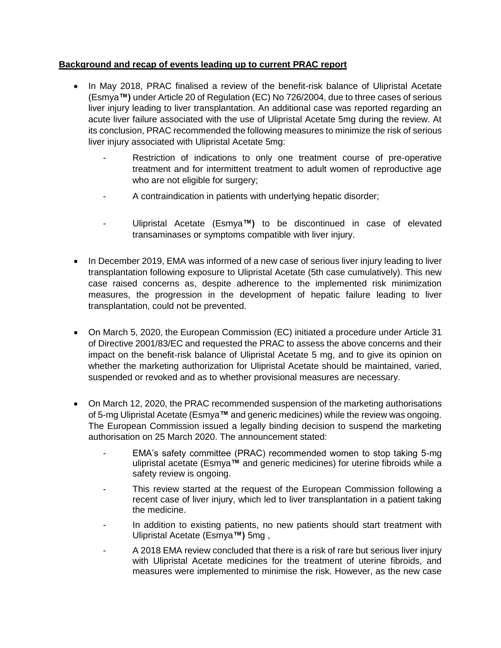## **Background and recap of events leading up to current PRAC report**

- In May 2018, PRAC finalised a review of the benefit-risk balance of Ulipristal Acetate (Esmya**™)** under Article 20 of Regulation (EC) No 726/2004, due to three cases of serious liver injury leading to liver transplantation. An additional case was reported regarding an acute liver failure associated with the use of Ulipristal Acetate 5mg during the review. At its conclusion, PRAC recommended the following measures to minimize the risk of serious liver injury associated with Ulipristal Acetate 5mg:
	- Restriction of indications to only one treatment course of pre-operative treatment and for intermittent treatment to adult women of reproductive age who are not eligible for surgery;
	- A contraindication in patients with underlying hepatic disorder;
	- Ulipristal Acetate (Esmya**™)** to be discontinued in case of elevated transaminases or symptoms compatible with liver injury.
- In December 2019, EMA was informed of a new case of serious liver injury leading to liver transplantation following exposure to Ulipristal Acetate (5th case cumulatively). This new case raised concerns as, despite adherence to the implemented risk minimization measures, the progression in the development of hepatic failure leading to liver transplantation, could not be prevented.
- On March 5, 2020, the European Commission (EC) initiated a procedure under Article 31 of Directive 2001/83/EC and requested the PRAC to assess the above concerns and their impact on the benefit-risk balance of Ulipristal Acetate 5 mg, and to give its opinion on whether the marketing authorization for Ulipristal Acetate should be maintained, varied, suspended or revoked and as to whether provisional measures are necessary.
- On March 12, 2020, the PRAC recommended suspension of the marketing authorisations of 5-mg Ulipristal Acetate (Esmya**™** and generic medicines) while the review was ongoing. The European Commission issued a legally binding decision to suspend the marketing authorisation on 25 March 2020. The announcement stated:
	- EMA's safety committee (PRAC) recommended women to stop taking 5-mg ulipristal acetate (Esmya**™** and generic medicines) for uterine fibroids while a safety review is ongoing.
	- This review started at the request of the European Commission following a recent case of liver injury, which led to liver transplantation in a patient taking the medicine.
	- In addition to existing patients, no new patients should start treatment with Ulipristal Acetate (Esmya**™)** 5mg ,
	- A 2018 EMA review concluded that there is a risk of rare but serious liver injury with Ulipristal Acetate medicines for the treatment of uterine fibroids, and measures were implemented to minimise the risk. However, as the new case